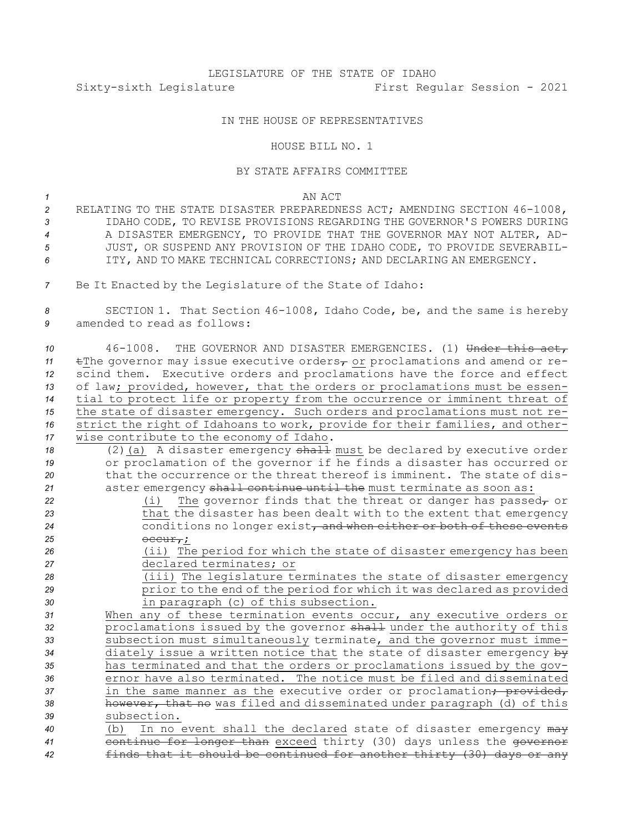## LEGISLATURE OF THE STATE OF IDAHO Sixty-sixth Legislature First Regular Session - 2021

## IN THE HOUSE OF REPRESENTATIVES

## HOUSE BILL NO. 1

## BY STATE AFFAIRS COMMITTEE

*1* AN ACT

- *<sup>2</sup>* RELATING TO THE STATE DISASTER PREPAREDNESS ACT; AMENDING SECTION 46-1008, *3* IDAHO CODE, TO REVISE PROVISIONS REGARDING THE GOVERNOR'S POWERS DURING *4* A DISASTER EMERGENCY, TO PROVIDE THAT THE GOVERNOR MAY NOT ALTER, AD-*5* JUST, OR SUSPEND ANY PROVISION OF THE IDAHO CODE, TO PROVIDE SEVERABIL-*6* ITY, AND TO MAKE TECHNICAL CORRECTIONS; AND DECLARING AN EMERGENCY.
- *<sup>7</sup>* Be It Enacted by the Legislature of the State of Idaho:

*<sup>8</sup>* SECTION 1. That Section 46-1008, Idaho Code, be, and the same is hereby *9* amended to read as follows:

| 10 | 46-1008. THE GOVERNOR AND DISASTER EMERGENCIES. (1) Under this act,                                                |
|----|--------------------------------------------------------------------------------------------------------------------|
| 11 | $\text{if}$ the governor may issue executive orders <sub><math>\tau</math></sub> or proclamations and amend or re- |
| 12 | scind them. Executive orders and proclamations have the force and effect                                           |
| 13 | of law; provided, however, that the orders or proclamations must be essen-                                         |
| 14 | tial to protect life or property from the occurrence or imminent threat of                                         |
| 15 | the state of disaster emergency. Such orders and proclamations must not re-                                        |
| 16 | strict the right of Idahoans to work, provide for their families, and other-                                       |
| 17 | wise contribute to the economy of Idaho.                                                                           |
| 18 | (2) (a) A disaster emergency shall must be declared by executive order                                             |
| 19 | or proclamation of the governor if he finds a disaster has occurred or                                             |
| 20 | that the occurrence or the threat thereof is imminent. The state of dis-                                           |
| 21 | aster emergency shall continue until the must terminate as soon as:                                                |
| 22 | The governor finds that the threat or danger has passed $_{\tau}$ or<br>(i)                                        |
| 23 | that the disaster has been dealt with to the extent that emergency                                                 |
| 24 | conditions no longer exist, and when either or both of these events                                                |
| 25 | $\overline{occurr}$ ;                                                                                              |
| 26 | (ii) The period for which the state of disaster emergency has been                                                 |
| 27 | declared terminates; or                                                                                            |
| 28 | (iii) The legislature terminates the state of disaster emergency                                                   |
| 29 | prior to the end of the period for which it was declared as provided                                               |
| 30 | in paragraph (c) of this subsection.                                                                               |
| 31 | When any of these termination events occur, any executive orders or                                                |
| 32 | proclamations issued by the governor shall under the authority of this                                             |
| 33 | subsection must simultaneously terminate, and the governor must imme-                                              |
| 34 | diately issue a written notice that the state of disaster emergency by                                             |
| 35 | has terminated and that the orders or proclamations issued by the gov-                                             |
| 36 | ernor have also terminated. The notice must be filed and disseminated                                              |
| 37 | in the same manner as the executive order or proclamation <del>; provided,</del>                                   |
| 38 | however, that no was filed and disseminated under paragraph (d) of this                                            |
| 39 | subsection.                                                                                                        |
| 40 | In no event shall the declared state of disaster emergency may<br>(b)                                              |
| 41 | continue for longer than exceed thirty (30) days unless the governor                                               |
| 42 | finds that it should be continued for another thirty (30) days or any                                              |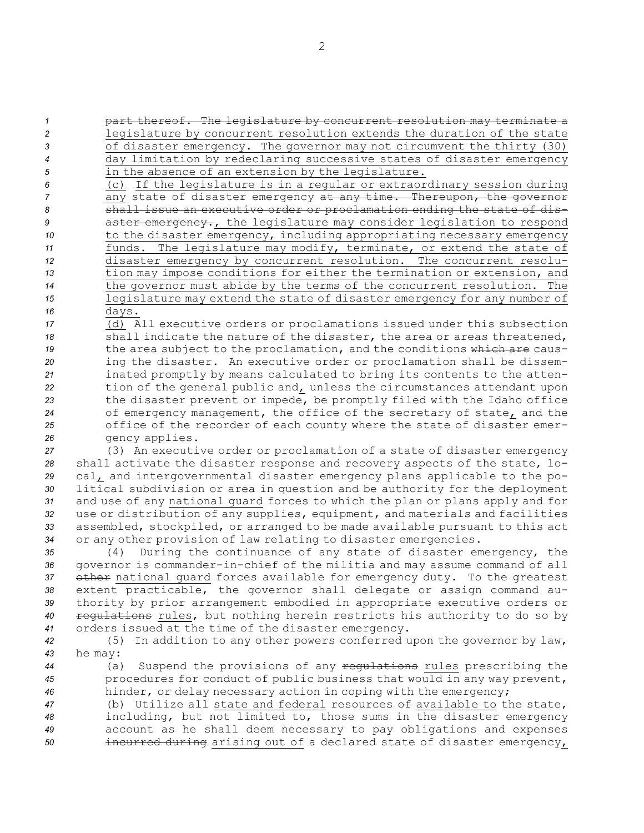**1 part thereof.** The legislature by concurrent resolution may terminate a legislature by concurrent resolution extends the duration of the state of disaster emergency. The governor may not circumvent the thirty (30) day limitation by redeclaring successive states of disaster emergency in the absence of an extension by the legislature.

 (c) If the legislature is in <sup>a</sup> regular or extraordinary session during any state of disaster emergency at any time. Thereupon, the governor shall issue an executive order or proclamation ending the state of dis- **aster emergency.**, the legislature may consider legislation to respond 10 to the disaster emergency, including appropriating necessary emergency funds. The legislature may modify, terminate, or extend the state of disaster emergency by concurrent resolution. The concurrent resolu- tion may impose conditions for either the termination or extension, and the governor must abide by the terms of the concurrent resolution. The legislature may extend the state of disaster emergency for any number of *<sup>16</sup>* days.

 (d) All executive orders or proclamations issued under this subsection shall indicate the nature of the disaster, the area or areas threatened, the area subject to the proclamation, and the conditions which are caus- ing the disaster. An executive order or proclamation shall be dissem- inated promptly by means calculated to bring its contents to the atten- tion of the general public and, unless the circumstances attendant upon the disaster prevent or impede, be promptly filed with the Idaho office of emergency management, the office of the secretary of state, and the office of the recorder of each county where the state of disaster emer-gency applies.

 (3) An executive order or proclamation of <sup>a</sup> state of disaster emergency shall activate the disaster response and recovery aspects of the state, lo- cal, and intergovernmental disaster emergency plans applicable to the po- litical subdivision or area in question and be authority for the deployment and use of any national guard forces to which the plan or plans apply and for use or distribution of any supplies, equipment, and materials and facilities assembled, stockpiled, or arranged to be made available pursuant to this act or any other provision of law relating to disaster emergencies.

 (4) During the continuance of any state of disaster emergency, the governor is commander-in-chief of the militia and may assume command of all 37 other national quard forces available for emergency duty. To the greatest extent practicable, the governor shall delegate or assign command au- thority by prior arrangement embodied in appropriate executive orders or regulations rules, but nothing herein restricts his authority to do so by orders issued at the time of the disaster emergency.

*<sup>42</sup>* (5) In addition to any other powers conferred upon the governor by law, *<sup>43</sup>* he may:

*<sup>44</sup>* (a) Suspend the provisions of any regulations rules prescribing the *<sup>45</sup>* procedures for conduct of public business that would in any way prevent, *<sup>46</sup>* hinder, or delay necessary action in coping with the emergency;

 (b) Utilize all state and federal resources of available to the state, including, but not limited to, those sums in the disaster emergency account as he shall deem necessary to pay obligations and expenses incurred during arising out of <sup>a</sup> declared state of disaster emergency,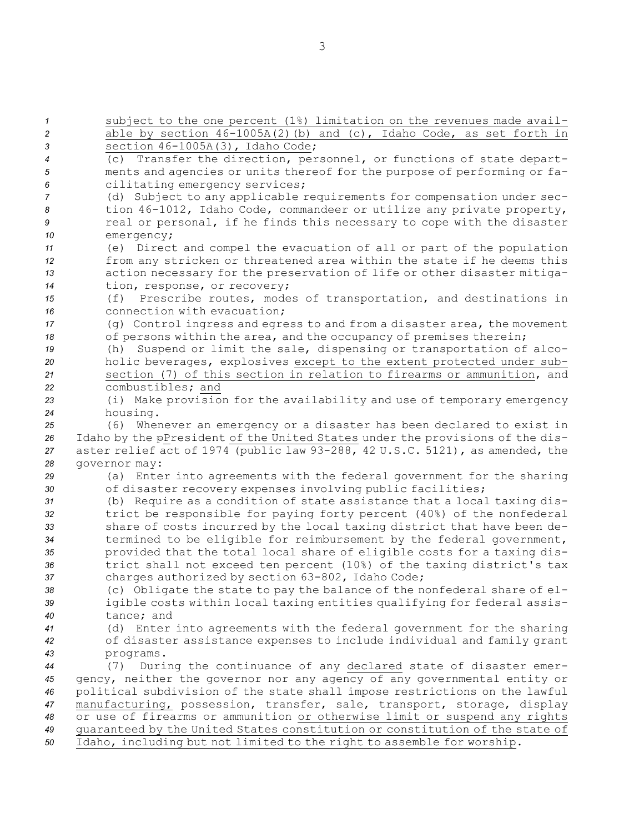subject to the one percent (1%) limitation on the revenues made avail- able by section 46-1005A(2)(b) and (c), Idaho Code, as set forth in section 46-1005A(3), Idaho Code; (c) Transfer the direction, personnel, or functions of state depart- ments and agencies or units thereof for the purpose of performing or fa- cilitating emergency services; (d) Subject to any applicable requirements for compensation under sec- tion 46-1012, Idaho Code, commandeer or utilize any private property, real or personal, if he finds this necessary to cope with the disaster emergency; (e) Direct and compel the evacuation of all or part of the population from any stricken or threatened area within the state if he deems this action necessary for the preservation of life or other disaster mitiga- tion, response, or recovery; (f) Prescribe routes, modes of transportation, and destinations in connection with evacuation; (g) Control ingress and egress to and from <sup>a</sup> disaster area, the movement of persons within the area, and the occupancy of premises therein; (h) Suspend or limit the sale, dispensing or transportation of alco- holic beverages, explosives except to the extent protected under sub- section (7) of this section in relation to firearms or ammunition, and combustibles; and (i) Make provision for the availability and use of temporary emergency *<sup>24</sup>* housing. (6) Whenever an emergency or <sup>a</sup> disaster has been declared to exist in Idaho by the pPresident of the United States under the provisions of the dis- aster relief act of 1974 (public law 93-288, 42 U.S.C. 5121), as amended, the governor may: (a) Enter into agreements with the federal government for the sharing of disaster recovery expenses involving public facilities; (b) Require as <sup>a</sup> condition of state assistance that <sup>a</sup> local taxing dis- trict be responsible for paying forty percent (40%) of the nonfederal share of costs incurred by the local taxing district that have been de- termined to be eligible for reimbursement by the federal government, provided that the total local share of eligible costs for <sup>a</sup> taxing dis- trict shall not exceed ten percent (10%) of the taxing district's tax charges authorized by section 63-802, Idaho Code; (c) Obligate the state to pay the balance of the nonfederal share of el- igible costs within local taxing entities qualifying for federal assis- tance; and (d) Enter into agreements with the federal government for the sharing of disaster assistance expenses to include individual and family grant programs. (7) During the continuance of any declared state of disaster emer- gency, neither the governor nor any agency of any governmental entity or political subdivision of the state shall impose restrictions on the lawful manufacturing, possession, transfer, sale, transport, storage, display or use of firearms or ammunition or otherwise limit or suspend any rights guaranteed by the United States constitution or constitution of the state of Idaho, including but not limited to the right to assemble for worship.

3